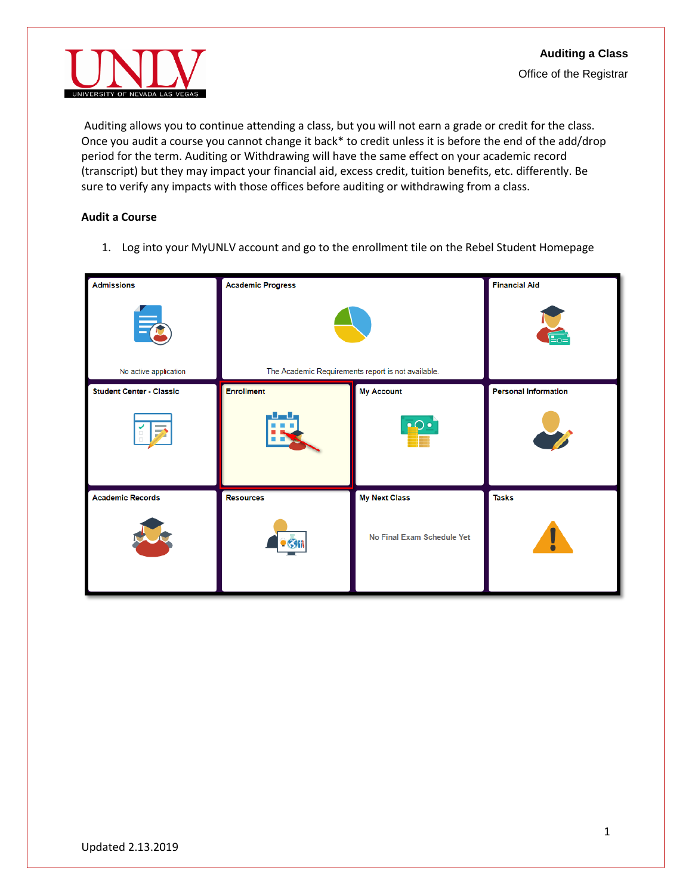

Auditing allows you to continue attending a class, but you will not earn a grade or credit for the class. Once you audit a course you cannot change it back\* to credit unless it is before the end of the add/drop period for the term. Auditing or Withdrawing will have the same effect on your academic record (transcript) but they may impact your financial aid, excess credit, tuition benefits, etc. differently. Be sure to verify any impacts with those offices before auditing or withdrawing from a class.

## **Audit a Course**

1. Log into your MyUNLV account and go to the enrollment tile on the Rebel Student Homepage

| <b>Admissions</b>                 | <b>Academic Progress</b>                           |                            | <b>Financial Aid</b>        |
|-----------------------------------|----------------------------------------------------|----------------------------|-----------------------------|
| $\equiv_{\pmb{\alpha}}$           |                                                    |                            |                             |
| No active application             | The Academic Requirements report is not available. |                            |                             |
| <b>Student Center - Classic</b>   | <b>Enrollment</b>                                  | <b>My Account</b>          | <b>Personal Information</b> |
| and a<br>$\overline{\mathcal{D}}$ |                                                    | $\cdot$ $\circ$            |                             |
| <b>Academic Records</b>           | <b>Resources</b>                                   | <b>My Next Class</b>       | <b>Tasks</b>                |
|                                   |                                                    | No Final Exam Schedule Yet |                             |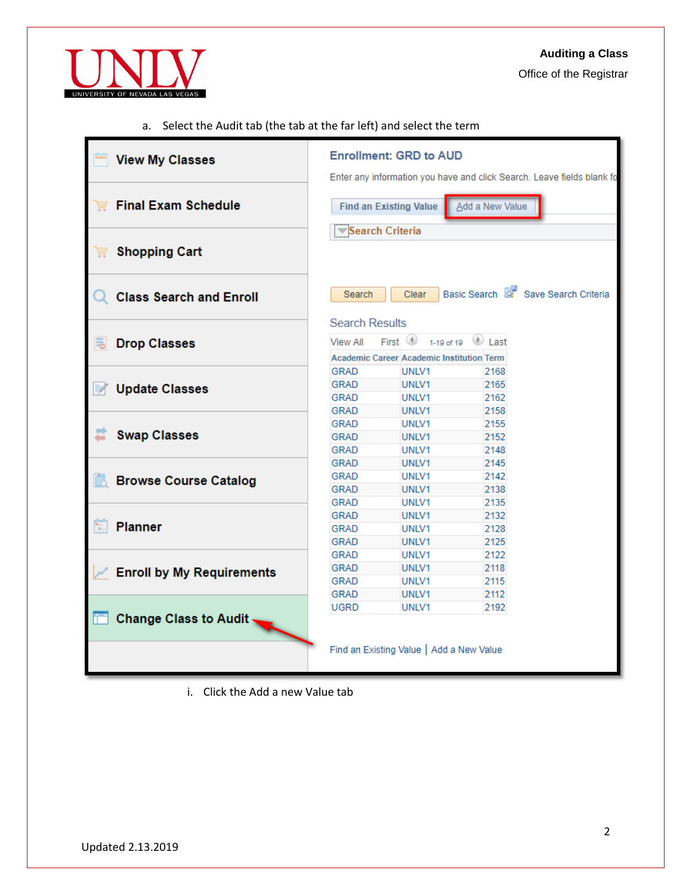

Office of the Registrar

a. Select the Audit tab (the tab at the far left) and select the term

| <b>View My Classes</b>           | <b>Enrollment: GRD to AUD</b><br>Enter any information you have and click Search. Leave fields blank fo                         |  |  |  |  |  |
|----------------------------------|---------------------------------------------------------------------------------------------------------------------------------|--|--|--|--|--|
| <b>Final Exam Schedule</b>       | Add a New Value<br><b>Find an Existing Value</b><br>Search Criteria                                                             |  |  |  |  |  |
| <b>Shopping Cart</b>             |                                                                                                                                 |  |  |  |  |  |
| <b>Class Search and Enroll</b>   | Basic Search & Save Search Criteria<br>Clear<br>Search                                                                          |  |  |  |  |  |
| <b>Drop Classes</b><br>尾         | <b>Search Results</b><br>First $\bigcirc$<br>1-19 of 19<br>Last<br>View All<br><b>Academic Career Academic Institution Term</b> |  |  |  |  |  |
| <b>Update Classes</b><br>Þ       | GRAD<br>UNLV1<br>2168<br><b>GRAD</b><br>UNLV1<br>2165<br>GRAD<br>UNLV1<br>2162<br><b>GRAD</b><br>UNLV1<br>2158                  |  |  |  |  |  |
| <b>Swap Classes</b>              | GRAD<br>2155<br>UNLV1<br>GRAD<br>2152<br>UNLV1<br><b>GRAD</b><br>2148<br>UNLV1                                                  |  |  |  |  |  |
| <b>Browse Course Catalog</b>     | <b>GRAD</b><br>UNLV1<br>2145<br><b>GRAD</b><br>UNLV1<br>2142<br><b>GRAD</b><br>UNLV1<br>2138<br>GRAD<br>UNLV1<br>2135           |  |  |  |  |  |
| E<br><b>Planner</b>              | <b>GRAD</b><br>2132<br>UNLV1<br><b>GRAD</b><br>UNLV1<br>2128<br><b>GRAD</b><br>UNLV1<br>2125                                    |  |  |  |  |  |
| <b>Enroll by My Requirements</b> | <b>GRAD</b><br>2122<br>UNLV1<br><b>GRAD</b><br>2118<br>UNLV1<br>2115<br>GRAD<br>UNLV1<br><b>GRAD</b><br>2112                    |  |  |  |  |  |
| <b>Change Class to Audit</b>     | UNLV1<br><b>UGRD</b><br>UNLV1<br>2192                                                                                           |  |  |  |  |  |
|                                  | Find an Existing Value   Add a New Value                                                                                        |  |  |  |  |  |

i. Click the Add a new Value tab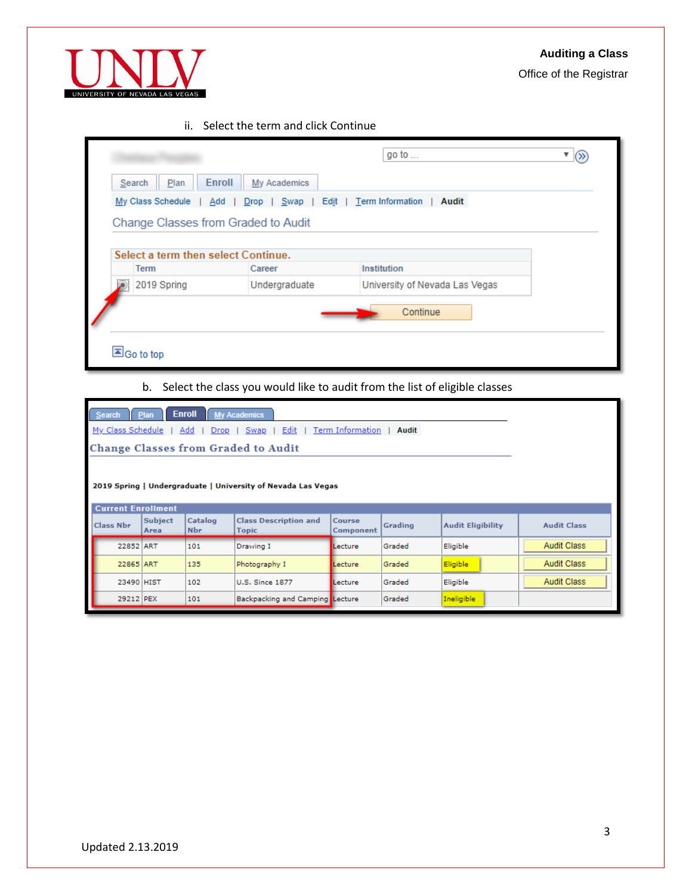

UNIVERSITY OF NEVADA LAS VEGA

# Office of the Registrar

## ii. Select the term and click Continue

|   |                                     |                      | go to $\ldots$                 |  |
|---|-------------------------------------|----------------------|--------------------------------|--|
|   | Enroll<br>Plan<br>Search            | My Academics         |                                |  |
|   | My Class Schedule<br>Add            | Edit<br>Swap<br>Drop | Term Information<br>Audit      |  |
|   | Change Classes from Graded to Audit |                      |                                |  |
|   |                                     |                      |                                |  |
|   | Select a term then select Continue. |                      |                                |  |
|   | <b>Term</b>                         | Career               | Institution                    |  |
| ₽ | 2019 Spring                         | Undergraduate        | University of Nevada Las Vegas |  |
|   |                                     |                      | Continue                       |  |
|   | Go to top                           |                      |                                |  |

# b. Select the class you would like to audit from the list of eligible classes

| <b>Enroll</b><br><b>My Academics</b><br>Search<br><b>Plan</b>                 |                        |                       |                                                              |                            |         |                          |                    |  |  |  |
|-------------------------------------------------------------------------------|------------------------|-----------------------|--------------------------------------------------------------|----------------------------|---------|--------------------------|--------------------|--|--|--|
| My Class Schedule<br>Add<br>Term Information<br>Edit<br>Audit<br>Drop<br>Swap |                        |                       |                                                              |                            |         |                          |                    |  |  |  |
| <b>Change Classes from Graded to Audit</b>                                    |                        |                       |                                                              |                            |         |                          |                    |  |  |  |
|                                                                               |                        |                       |                                                              |                            |         |                          |                    |  |  |  |
|                                                                               |                        |                       | 2019 Spring   Undergraduate   University of Nevada Las Vegas |                            |         |                          |                    |  |  |  |
|                                                                               |                        |                       |                                                              |                            |         |                          |                    |  |  |  |
| <b>Current Enrollment</b>                                                     |                        |                       |                                                              |                            |         |                          |                    |  |  |  |
| <b>Class Nbr</b>                                                              | <b>Subject</b><br>Area | Catalog<br><b>Nbr</b> | <b>Class Description and</b><br><b>Topic</b>                 | <b>Course</b><br>Component | Grading | <b>Audit Eligibility</b> | <b>Audit Class</b> |  |  |  |
| 22852 ART                                                                     |                        | 101                   | Drawing I                                                    | Lecture                    | Graded  | Eligible                 | <b>Audit Class</b> |  |  |  |
| 22865 ART                                                                     |                        | 135                   | Photography I                                                | Lecture                    | Graded  | Eligible                 | <b>Audit Class</b> |  |  |  |
| 23490 HIST                                                                    |                        | 102                   | <b>U.S. Since 1877</b>                                       | Lecture                    | Graded  | Eligible                 | <b>Audit Class</b> |  |  |  |
| 29212 PEX                                                                     |                        | 101                   | Backpacking and Camping Lecture                              |                            | Graded  | Ineligible               |                    |  |  |  |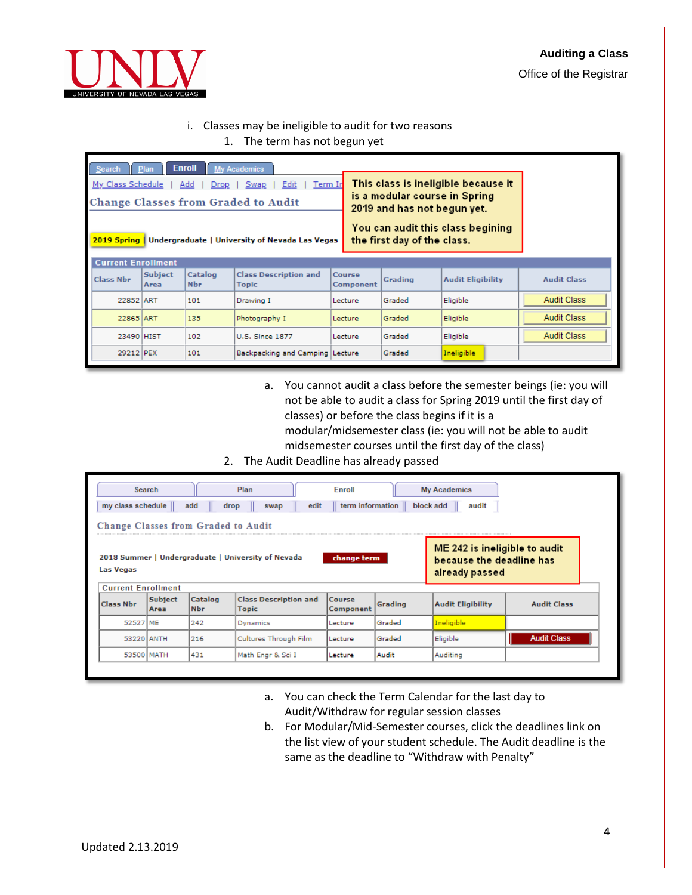Office of the Registrar



## i. Classes may be ineligible to audit for two reasons

1. The term has not begun yet

| <b>Enroll</b><br><b>My Academics</b><br>Search<br>Plan<br>This class is ineligible because it<br>My Class Schedule<br>Term In<br>Add<br>Edit<br>Swap<br>Drop<br>is a modular course in Spring<br><b>Change Classes from Graded to Audit</b><br>2019 and has not begun yet.<br>You can audit this class begining<br>the first day of the class.<br>2019 Spring<br>Undergraduate   University of Nevada Las Vegas<br><b>Current Enrollment</b> |                 |                       |                                              |         |                          |                    |                    |  |  |
|----------------------------------------------------------------------------------------------------------------------------------------------------------------------------------------------------------------------------------------------------------------------------------------------------------------------------------------------------------------------------------------------------------------------------------------------|-----------------|-----------------------|----------------------------------------------|---------|--------------------------|--------------------|--------------------|--|--|
| <b>Class Nbr</b>                                                                                                                                                                                                                                                                                                                                                                                                                             | Subject<br>Area | Catalog<br><b>Nbr</b> | <b>Class Description and</b><br><b>Topic</b> | Grading | <b>Audit Eligibility</b> | <b>Audit Class</b> |                    |  |  |
| 22852 ART                                                                                                                                                                                                                                                                                                                                                                                                                                    |                 | 101                   | Drawing I                                    | Lecture | Graded                   | Eligible           | <b>Audit Class</b> |  |  |
| 22865 ART                                                                                                                                                                                                                                                                                                                                                                                                                                    |                 | 135                   | Photography I                                | Lecture | Graded                   | Eligible           | <b>Audit Class</b> |  |  |
| 23490 HIST                                                                                                                                                                                                                                                                                                                                                                                                                                   |                 | 102                   | <b>U.S. Since 1877</b>                       | Lecture | Graded                   | Eligible           | <b>Audit Class</b> |  |  |
| 29212 PEX                                                                                                                                                                                                                                                                                                                                                                                                                                    |                 | 101                   | Backpacking and Camping Lecture              |         | Graded                   | Ineligible         |                    |  |  |

- a. You cannot audit a class before the semester beings (ie: you will not be able to audit a class for Spring 2019 until the first day of classes) or before the class begins if it is a modular/midsemester class (ie: you will not be able to audit midsemester courses until the first day of the class)
- 2. The Audit Deadline has already passed

|                                                                                                                                                                      | Search                 |                       | Plan                                         | Enroll                     |         | <b>My Academics</b>      |                    |  |  |
|----------------------------------------------------------------------------------------------------------------------------------------------------------------------|------------------------|-----------------------|----------------------------------------------|----------------------------|---------|--------------------------|--------------------|--|--|
| my class schedule                                                                                                                                                    |                        | add                   | edit<br>drop<br>swap                         | term information           |         | block add<br>audit       |                    |  |  |
| <b>Change Classes from Graded to Audit</b>                                                                                                                           |                        |                       |                                              |                            |         |                          |                    |  |  |
| ME 242 is ineligible to audit<br>2018 Summer   Undergraduate   University of Nevada<br>change term<br>because the deadline has<br><b>Las Vegas</b><br>already passed |                        |                       |                                              |                            |         |                          |                    |  |  |
| <b>Current Enrollment</b><br><b>Class Nbr</b>                                                                                                                        | <b>Subject</b><br>Area | Catalog<br><b>Nbr</b> | <b>Class Description and</b><br><b>Topic</b> | <b>Course</b><br>Component | Grading | <b>Audit Eligibility</b> | <b>Audit Class</b> |  |  |
| 52527 ME                                                                                                                                                             |                        | 242                   | Dynamics                                     | Lecture                    | Graded  | Ineligible               |                    |  |  |
| 53220 ANTH                                                                                                                                                           |                        | 216                   | Cultures Through Film                        | Lecture                    | Graded  | Eligible                 | <b>Audit Class</b> |  |  |
|                                                                                                                                                                      | 53500 MATH             | 431                   | Math Engr & Sci I                            | Lecture                    | Audit   | Auditing                 |                    |  |  |

- a. You can check the Term Calendar for the last day to Audit/Withdraw for regular session classes
- b. For Modular/Mid-Semester courses, click the deadlines link on the list view of your student schedule. The Audit deadline is the same as the deadline to "Withdraw with Penalty"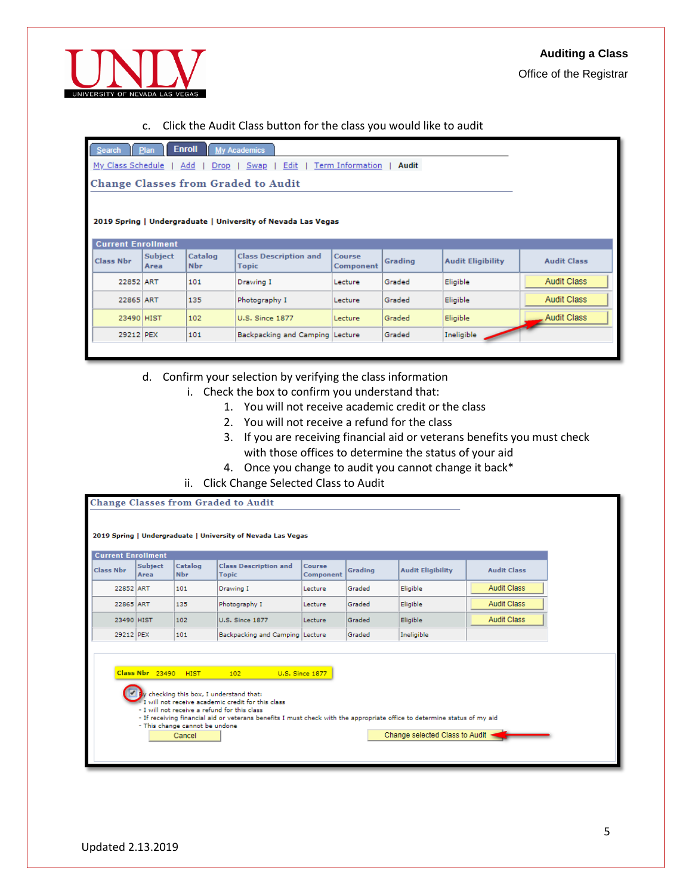



#### c. Click the Audit Class button for the class you would like to audit

| Search Plan Enroll My Academics                                          |
|--------------------------------------------------------------------------|
| My Class Schedule   Add   Drop   Swap   Edit   Term Information<br>Audit |
| <b>Change Classes from Graded to Audit</b>                               |
|                                                                          |
| 2019 Spring   Undergraduate   University of Nevada Las Vegas             |

|                  | <b>Current Enrollment</b> |                       |                                              |                            |         |                          |                    |  |  |
|------------------|---------------------------|-----------------------|----------------------------------------------|----------------------------|---------|--------------------------|--------------------|--|--|
| <b>Class Nbr</b> | <b>Subject</b><br>Area    | Catalog<br><b>Nbr</b> | <b>Class Description and</b><br><b>Topic</b> | <b>Course</b><br>Component | Grading | <b>Audit Eligibility</b> | <b>Audit Class</b> |  |  |
| 22852 ART        |                           | 101                   | Drawing I                                    | Lecture                    | Graded  | Eligible                 | <b>Audit Class</b> |  |  |
| 22865 ART        |                           | 135                   | Photography I                                | Lecture                    | Graded  | Eligible                 | <b>Audit Class</b> |  |  |
| 23490 HIST       |                           | 102                   | U.S. Since 1877                              | Lecture                    | Graded  | Eligible                 | <b>Audit Class</b> |  |  |
| 29212 PEX        |                           | 101                   | Backpacking and Camping Lecture              |                            | Graded  | Ineligible               |                    |  |  |

## d. Confirm your selection by verifying the class information

- i. Check the box to confirm you understand that:
	- 1. You will not receive academic credit or the class
	- 2. You will not receive a refund for the class
	- 3. If you are receiving financial aid or veterans benefits you must check with those offices to determine the status of your aid
	- 4. Once you change to audit you cannot change it back\*
- ii. Click Change Selected Class to Audit

| <b>Current Enrollment</b><br><b>Class Nbr</b>                                                                                                                                                                                                                                                                                                                          | <b>Subject</b><br>Area | Catalog<br><b>Nbr</b> | <b>Class Description and</b><br><b>Topic</b> | <b>Course</b><br>Component | Grading | <b>Audit Eligibility</b> | <b>Audit Class</b> |  |
|------------------------------------------------------------------------------------------------------------------------------------------------------------------------------------------------------------------------------------------------------------------------------------------------------------------------------------------------------------------------|------------------------|-----------------------|----------------------------------------------|----------------------------|---------|--------------------------|--------------------|--|
| 22852 ART                                                                                                                                                                                                                                                                                                                                                              |                        | 101                   | Drawing I                                    | Lecture                    | Graded  | Eligible                 | <b>Audit Class</b> |  |
| 22865 ART                                                                                                                                                                                                                                                                                                                                                              |                        | 135                   | Photography I                                | Lecture                    | Graded  | Eligible                 | <b>Audit Class</b> |  |
| 23490 HIST                                                                                                                                                                                                                                                                                                                                                             |                        | 102                   | <b>U.S. Since 1877</b>                       | Lecture                    | Graded  | Eligible                 | <b>Audit Class</b> |  |
| 29212 PEX                                                                                                                                                                                                                                                                                                                                                              |                        | 101                   | Backpacking and Camping Lecture              |                            | Graded  | Ineligible               |                    |  |
| Class Nbr 23490<br><b>HIST</b><br>U.S. Since 1877<br>102<br>y checking this box, I understand that:<br>I will not receive academic credit for this class<br>- I will not receive a refund for this class<br>- If receiving financial aid or veterans benefits I must check with the appropriate office to determine status of my aid<br>- This change cannot be undone |                        |                       |                                              |                            |         |                          |                    |  |